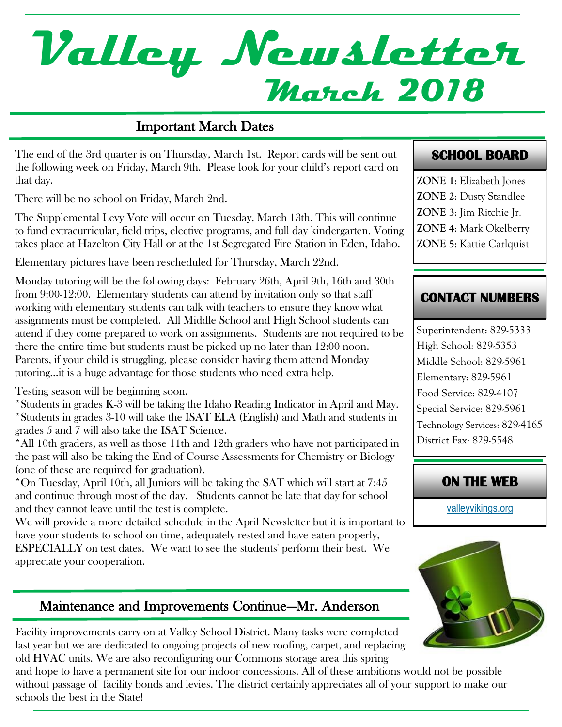# **March 2018 Valley Newsletter**

#### Important March Dates

The end of the 3rd quarter is on Thursday, March 1st. Report cards will be sent out the following week on Friday, March 9th. Please look for your child's report card on that day.

There will be no school on Friday, March 2nd.

The Supplemental Levy Vote will occur on Tuesday, March 13th. This will continue to fund extracurricular, field trips, elective programs, and full day kindergarten. Voting takes place at Hazelton City Hall or at the 1st Segregated Fire Station in Eden, Idaho.

Elementary pictures have been rescheduled for Thursday, March 22nd.

Monday tutoring will be the following days: February 26th, April 9th, 16th and 30th from 9:00-12:00. Elementary students can attend by invitation only so that staff working with elementary students can talk with teachers to ensure they know what assignments must be completed. All Middle School and High School students can attend if they come prepared to work on assignments. Students are not required to be there the entire time but students must be picked up no later than 12:00 noon. Parents, if your child is struggling, please consider having them attend Monday tutoring…it is a huge advantage for those students who need extra help.

Testing season will be beginning soon.

\*Students in grades K-3 will be taking the Idaho Reading Indicator in April and May. \*Students in grades 3-10 will take the ISAT ELA (English) and Math and students in grades 5 and 7 will also take the ISAT Science.

\*All 10th graders, as well as those 11th and 12th graders who have not participated in the past will also be taking the End of Course Assessments for Chemistry or Biology (one of these are required for graduation).

\*On Tuesday, April 10th, all Juniors will be taking the SAT which will start at 7:45 and continue through most of the day. Students cannot be late that day for school and they cannot leave until the test is complete.

We will provide a more detailed schedule in the April Newsletter but it is important to have your students to school on time, adequately rested and have eaten properly,

ESPECIALLY on test dates. We want to see the students' perform their best. We appreciate your cooperation.

# Maintenance and Improvements Continue—Mr. Anderson

Facility improvements carry on at Valley School District. Many tasks were completed last year but we are dedicated to ongoing projects of new roofing, carpet, and replacing old HVAC units. We are also reconfiguring our Commons storage area this spring

and hope to have a permanent site for our indoor concessions. All of these ambitions would not be possible without passage of facility bonds and levies. The district certainly appreciates all of your support to make our schools the best in the State!

#### **SCHOOL BOARD**

**ZONE 1**: Elizabeth Jones **ZONE 2**: Dusty Standlee **ZONE 3**: Jim Ritchie Jr. **ZONE 4**: Mark Okelberry **ZONE 5**: Kattie Carlquist

### **CONTACT NUMBERS**

Superintendent: 829-5333 High School: 829-5353 Middle School: 829-5961 Elementary: 829-5961 Food Service: 829-4107 Special Service: 829-5961 Technology Services: 829-4165 District Fax: 829-5548

#### **ON THE WEB**

[valleyvikings.org](http://www.valleyvikings.org/)

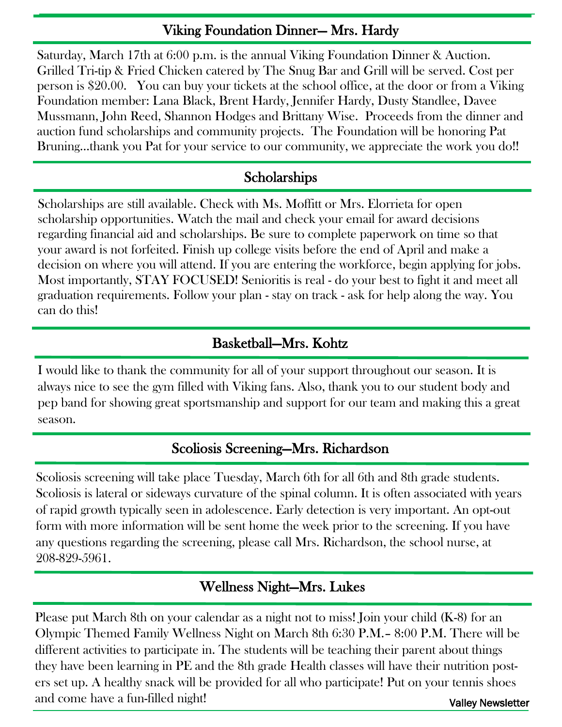### Viking Foundation Dinner— Mrs. Hardy

Saturday, March 17th at 6:00 p.m. is the annual Viking Foundation Dinner & Auction. Grilled Tri-tip & Fried Chicken catered by The Snug Bar and Grill will be served. Cost per person is \$20.00. You can buy your tickets at the school office, at the door or from a Viking Foundation member: Lana Black, Brent Hardy, Jennifer Hardy, Dusty Standlee, Davee Mussmann, John Reed, Shannon Hodges and Brittany Wise. Proceeds from the dinner and auction fund scholarships and community projects. The Foundation will be honoring Pat Bruning...thank you Pat for your service to our community, we appreciate the work you do!!

# **Scholarships**

Scholarships are still available. Check with Ms. Moffitt or Mrs. Elorrieta for open scholarship opportunities. Watch the mail and check your email for award decisions regarding financial aid and scholarships. Be sure to complete paperwork on time so that your award is not forfeited. Finish up college visits before the end of April and make a decision on where you will attend. If you are entering the workforce, begin applying for jobs. Most importantly, STAY FOCUSED! Senioritis is real - do your best to fight it and meet all graduation requirements. Follow your plan - stay on track - ask for help along the way. You can do this!

# Basketball—Mrs. Kohtz

I would like to thank the community for all of your support throughout our season. It is always nice to see the gym filled with Viking fans. Also, thank you to our student body and pep band for showing great sportsmanship and support for our team and making this a great season.

#### Scoliosis Screening—Mrs. Richardson

Scoliosis screening will take place Tuesday, March 6th for all 6th and 8th grade students. Scoliosis is lateral or sideways curvature of the spinal column. It is often associated with years of rapid growth typically seen in adolescence. Early detection is very important. An opt-out form with more information will be sent home the week prior to the screening. If you have any questions regarding the screening, please call Mrs. Richardson, the school nurse, at 208-829-5961.

# Wellness Night—Mrs. Lukes

Please put March 8th on your calendar as a night not to miss! Join your child (K-8) for an Olympic Themed Family Wellness Night on March 8th 6:30 P.M.– 8:00 P.M. There will be different activities to participate in. The students will be teaching their parent about things they have been learning in PE and the 8th grade Health classes will have their nutrition posters set up. A healthy snack will be provided for all who participate! Put on your tennis shoes and come have a fun-filled night! Valley Newsletter